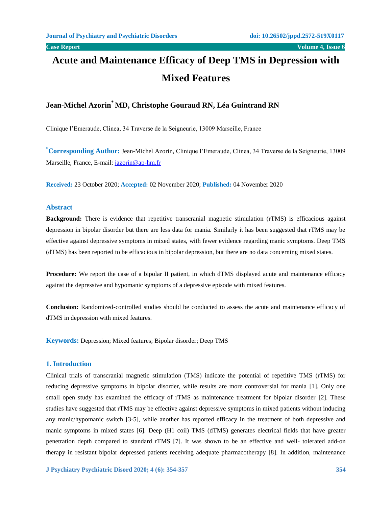# **Acute and Maintenance Efficacy of Deep TMS in Depression with Mixed Features**

# **Jean-Michel Azorin\* MD, Christophe Gouraud RN, Léa Guintrand RN**

Clinique l'Emeraude, Clinea, 34 Traverse de la Seigneurie, 13009 Marseille, France

**\*Corresponding Author:** Jean-Michel Azorin, Clinique l'Emeraude, Clinea, 34 Traverse de la Seigneurie, 13009 Marseille, France, E-mail: [jazorin@ap-hm.fr](mailto:jazorin@ap-hm.fr)

**Received:** 23 October 2020; **Accepted:** 02 November 2020; **Published:** 04 November 2020

# **Abstract**

**Background:** There is evidence that repetitive transcranial magnetic stimulation (rTMS) is efficacious against depression in bipolar disorder but there are less data for mania. Similarly it has been suggested that rTMS may be effective against depressive symptoms in mixed states, with fewer evidence regarding manic symptoms. Deep TMS (dTMS) has been reported to be efficacious in bipolar depression, but there are no data concerning mixed states.

**Procedure:** We report the case of a bipolar II patient, in which dTMS displayed acute and maintenance efficacy against the depressive and hypomanic symptoms of a depressive episode with mixed features.

**Conclusion:** Randomized-controlled studies should be conducted to assess the acute and maintenance efficacy of dTMS in depression with mixed features.

**Keywords:** Depression; Mixed features; Bipolar disorder; Deep TMS

# **1. Introduction**

Clinical trials of transcranial magnetic stimulation (TMS) indicate the potential of repetitive TMS (rTMS) for reducing depressive symptoms in bipolar disorder, while results are more controversial for mania [1]. Only one small open study has examined the efficacy of rTMS as maintenance treatment for bipolar disorder [2]. These studies have suggested that rTMS may be effective against depressive symptoms in mixed patients without inducing any manic/hypomanic switch [3-5], while another has reported efficacy in the treatment of both depressive and manic symptoms in mixed states [6]. Deep (H1 coil) TMS (dTMS) generates electrical fields that have greater penetration depth compared to standard rTMS [7]. It was shown to be an effective and well- tolerated add-on therapy in resistant bipolar depressed patients receiving adequate pharmacotherapy [8]. In addition, maintenance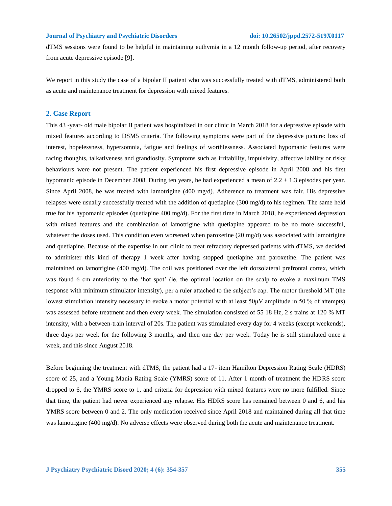#### **Journal of Psychiatry and Psychiatric Disorders doi: 10.26502/jppd.2572-519X0117**

dTMS sessions were found to be helpful in maintaining euthymia in a 12 month follow-up period, after recovery from acute depressive episode [9].

We report in this study the case of a bipolar II patient who was successfully treated with dTMS, administered both as acute and maintenance treatment for depression with mixed features.

#### **2. Case Report**

This 43 -year- old male bipolar II patient was hospitalized in our clinic in March 2018 for a depressive episode with mixed features according to DSM5 criteria. The following symptoms were part of the depressive picture: loss of interest, hopelessness, hypersomnia, fatigue and feelings of worthlessness. Associated hypomanic features were racing thoughts, talkativeness and grandiosity. Symptoms such as irritability, impulsivity, affective lability or risky behaviours were not present. The patient experienced his first depressive episode in April 2008 and his first hypomanic episode in December 2008. During ten years, he had experienced a mean of 2.2 ± 1.3 episodes per year. Since April 2008, he was treated with lamotrigine (400 mg/d). Adherence to treatment was fair. His depressive relapses were usually successfully treated with the addition of quetiapine (300 mg/d) to his regimen. The same held true for his hypomanic episodes (quetiapine 400 mg/d). For the first time in March 2018, he experienced depression with mixed features and the combination of lamotrigine with quetiapine appeared to be no more successful, whatever the doses used. This condition even worsened when paroxetine (20 mg/d) was associated with lamotrigine and quetiapine. Because of the expertise in our clinic to treat refractory depressed patients with dTMS, we decided to administer this kind of therapy 1 week after having stopped quetiapine and paroxetine. The patient was maintained on lamotrigine (400 mg/d). The coil was positioned over the left dorsolateral prefrontal cortex, which was found 6 cm anteriority to the 'hot spot' (ie, the optimal location on the scalp to evoke a maximum TMS response with minimum stimulator intensity), per a ruler attached to the subject's cap. The motor threshold MT (the lowest stimulation intensity necessary to evoke a motor potential with at least  $50\mu$ V amplitude in 50 % of attempts) was assessed before treatment and then every week. The simulation consisted of 55 18 Hz, 2 s trains at 120 % MT intensity, with a between-train interval of 20s. The patient was stimulated every day for 4 weeks (except weekends), three days per week for the following 3 months, and then one day per week. Today he is still stimulated once a week, and this since August 2018.

Before beginning the treatment with dTMS, the patient had a 17- item Hamilton Depression Rating Scale (HDRS) score of 25, and a Young Mania Rating Scale (YMRS) score of 11. After 1 month of treatment the HDRS score dropped to 6, the YMRS score to 1, and criteria for depression with mixed features were no more fulfilled. Since that time, the patient had never experienced any relapse. His HDRS score has remained between 0 and 6, and his YMRS score between 0 and 2. The only medication received since April 2018 and maintained during all that time was lamotrigine (400 mg/d). No adverse effects were observed during both the acute and maintenance treatment.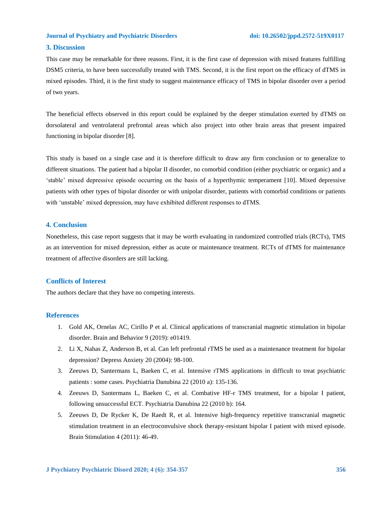#### **Journal of Psychiatry and Psychiatric Disorders doi: 10.26502/jppd.2572-519X0117**

# **3. Discussion**

This case may be remarkable for three reasons. First, it is the first case of depression with mixed features fulfilling DSM5 criteria, to have been successfully treated with TMS. Second, it is the first report on the efficacy of dTMS in mixed episodes. Third, it is the first study to suggest maintenance efficacy of TMS in bipolar disorder over a period of two years.

The beneficial effects observed in this report could be explained by the deeper stimulation exerted by dTMS on dorsolateral and ventrolateral prefrontal areas which also project into other brain areas that present impaired functioning in bipolar disorder [8].

This study is based on a single case and it is therefore difficult to draw any firm conclusion or to generalize to different situations. The patient had a bipolar II disorder, no comorbid condition (either psychiatric or organic) and a 'stable' mixed depressive episode occurring on the basis of a hyperthymic temperament [10]. Mixed depressive patients with other types of bipolar disorder or with unipolar disorder, patients with comorbid conditions or patients with 'unstable' mixed depression, may have exhibited different responses to dTMS.

# **4. Conclusion**

Nonetheless, this case report suggests that it may be worth evaluating in randomized controlled trials (RCTs), TMS as an intervention for mixed depression, either as acute or maintenance treatment. RCTs of dTMS for maintenance treatment of affective disorders are still lacking.

# **Conflicts of Interest**

The authors declare that they have no competing interests.

### **References**

- 1. Gold AK, Ornelas AC, Cirillo P et al. Clinical applications of transcranial magnetic stimulation in bipolar disorder. Brain and Behavior 9 (2019): e01419.
- 2. Li X, Nahas Z, Anderson B, et al. Can left prefrontal rTMS be used as a maintenance treatment for bipolar depression? Depress Anxiety 20 (2004): 98-100.
- 3. Zeeuws D, Santermans L, Baeken C, et al. Intensive rTMS applications in difficult to treat psychiatric patients : some cases. Psychiatria Danubina 22 (2010 a): 135-136.
- 4. Zeeuws D, Santermans L, Baeken C, et al. Combative HF-r TMS treatment, for a bipolar I patient, following unsuccessful ECT. Psychiatria Danubina 22 (2010 b): 164.
- 5. Zeeuws D, De Rycker K, De Raedt R, et al. Intensive high-frequency repetitive transcranial magnetic stimulation treatment in an electroconvulsive shock therapy-resistant bipolar I patient with mixed episode. Brain Stimulation 4 (2011): 46-49.